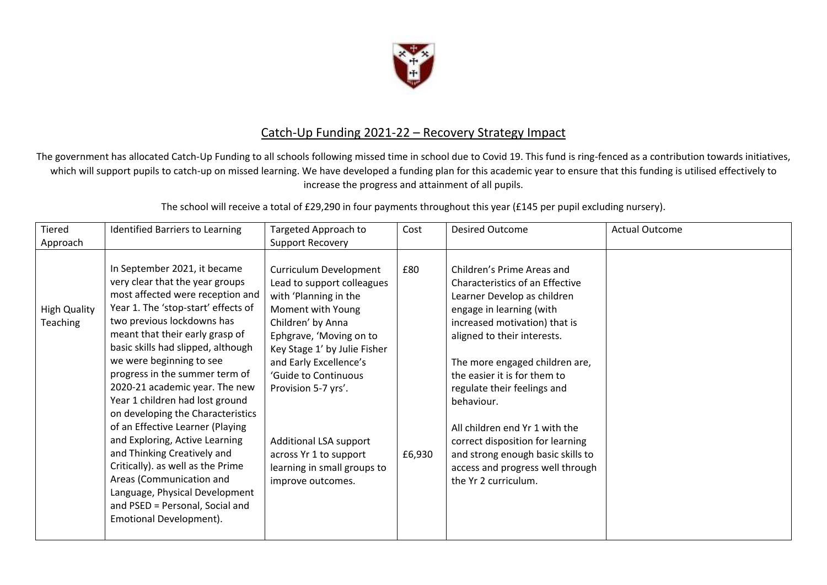

## Catch-Up Funding 2021-22 – Recovery Strategy Impact

The government has allocated Catch-Up Funding to all schools following missed time in school due to Covid 19. This fund is ring-fenced as a contribution towards initiatives, which will support pupils to catch-up on missed learning. We have developed a funding plan for this academic year to ensure that this funding is utilised effectively to increase the progress and attainment of all pupils.

The school will receive a total of £29,290 in four payments throughout this year (£145 per pupil excluding nursery).

| Tiered                                 | <b>Identified Barriers to Learning</b>                                                                                                                                                                                                                                                                                                                                                                                                                                                                                                                                                                                                                                                          | Targeted Approach to                                                                                                                                                                                                                                                                                                                                                | Cost          | <b>Desired Outcome</b>                                                                                                                                                                                                                                                                                                                                                                                                                                                         | <b>Actual Outcome</b> |
|----------------------------------------|-------------------------------------------------------------------------------------------------------------------------------------------------------------------------------------------------------------------------------------------------------------------------------------------------------------------------------------------------------------------------------------------------------------------------------------------------------------------------------------------------------------------------------------------------------------------------------------------------------------------------------------------------------------------------------------------------|---------------------------------------------------------------------------------------------------------------------------------------------------------------------------------------------------------------------------------------------------------------------------------------------------------------------------------------------------------------------|---------------|--------------------------------------------------------------------------------------------------------------------------------------------------------------------------------------------------------------------------------------------------------------------------------------------------------------------------------------------------------------------------------------------------------------------------------------------------------------------------------|-----------------------|
| Approach                               |                                                                                                                                                                                                                                                                                                                                                                                                                                                                                                                                                                                                                                                                                                 | Support Recovery                                                                                                                                                                                                                                                                                                                                                    |               |                                                                                                                                                                                                                                                                                                                                                                                                                                                                                |                       |
| <b>High Quality</b><br><b>Teaching</b> | In September 2021, it became<br>very clear that the year groups<br>most affected were reception and<br>Year 1. The 'stop-start' effects of<br>two previous lockdowns has<br>meant that their early grasp of<br>basic skills had slipped, although<br>we were beginning to see<br>progress in the summer term of<br>2020-21 academic year. The new<br>Year 1 children had lost ground<br>on developing the Characteristics<br>of an Effective Learner (Playing<br>and Exploring, Active Learning<br>and Thinking Creatively and<br>Critically). as well as the Prime<br>Areas (Communication and<br>Language, Physical Development<br>and PSED = Personal, Social and<br>Emotional Development). | Curriculum Development<br>Lead to support colleagues<br>with 'Planning in the<br>Moment with Young<br>Children' by Anna<br>Ephgrave, 'Moving on to<br>Key Stage 1' by Julie Fisher<br>and Early Excellence's<br>'Guide to Continuous<br>Provision 5-7 yrs'.<br>Additional LSA support<br>across Yr 1 to support<br>learning in small groups to<br>improve outcomes. | £80<br>£6,930 | Children's Prime Areas and<br>Characteristics of an Effective<br>Learner Develop as children<br>engage in learning (with<br>increased motivation) that is<br>aligned to their interests.<br>The more engaged children are,<br>the easier it is for them to<br>regulate their feelings and<br>behaviour.<br>All children end Yr 1 with the<br>correct disposition for learning<br>and strong enough basic skills to<br>access and progress well through<br>the Yr 2 curriculum. |                       |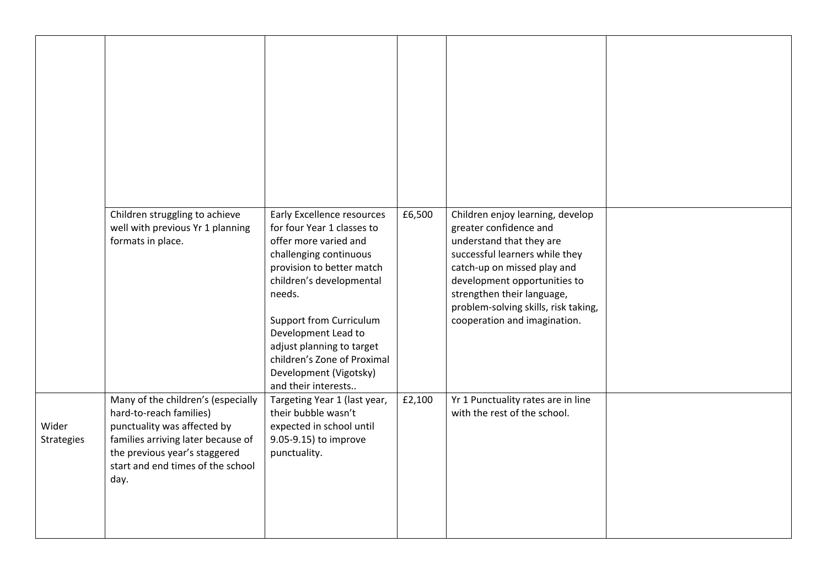|                     | Children struggling to achieve<br>well with previous Yr 1 planning<br>formats in place.                                                                                                                          | <b>Early Excellence resources</b><br>for four Year 1 classes to<br>offer more varied and<br>challenging continuous<br>provision to better match<br>children's developmental<br>needs.<br><b>Support from Curriculum</b><br>Development Lead to<br>adjust planning to target<br>children's Zone of Proximal<br>Development (Vigotsky)<br>and their interests | £6,500 | Children enjoy learning, develop<br>greater confidence and<br>understand that they are<br>successful learners while they<br>catch-up on missed play and<br>development opportunities to<br>strengthen their language,<br>problem-solving skills, risk taking,<br>cooperation and imagination. |  |
|---------------------|------------------------------------------------------------------------------------------------------------------------------------------------------------------------------------------------------------------|-------------------------------------------------------------------------------------------------------------------------------------------------------------------------------------------------------------------------------------------------------------------------------------------------------------------------------------------------------------|--------|-----------------------------------------------------------------------------------------------------------------------------------------------------------------------------------------------------------------------------------------------------------------------------------------------|--|
| Wider<br>Strategies | Many of the children's (especially<br>hard-to-reach families)<br>punctuality was affected by<br>families arriving later because of<br>the previous year's staggered<br>start and end times of the school<br>day. | Targeting Year 1 (last year,<br>their bubble wasn't<br>expected in school until<br>9.05-9.15) to improve<br>punctuality.                                                                                                                                                                                                                                    | £2,100 | Yr 1 Punctuality rates are in line<br>with the rest of the school.                                                                                                                                                                                                                            |  |